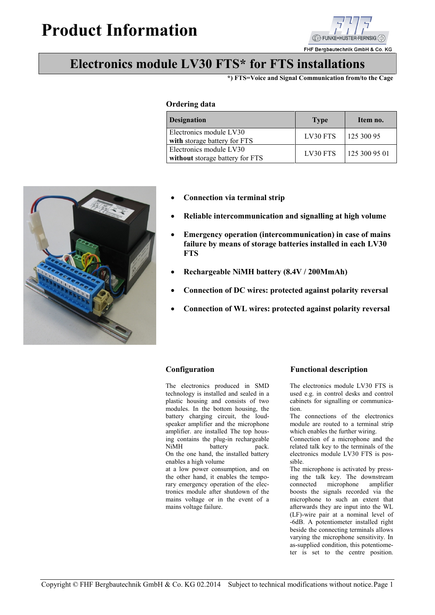# **Product Information**



FHF Bergbautechnik GmbH & Co. KG

## **Electronics module LV30 FTS\* for FTS installations**

**\*) FTS=Voice and Signal Communication from/to the Cage**

### **Ordering data**

| <b>Designation</b>                                         | <b>Type</b> | Item no.      |
|------------------------------------------------------------|-------------|---------------|
| Electronics module LV30<br>with storage battery for FTS    | LV30 FTS    | 125 300 95    |
| Electronics module LV30<br>without storage battery for FTS | LV30 FTS    | 125 300 95 01 |

- 
- **Connection via terminal strip**
- **Reliable intercommunication and signalling at high volume**
- **Emergency operation (intercommunication) in case of mains failure by means of storage batteries installed in each LV30 FTS**
- **Rechargeable NiMH battery (8.4V / 200MmAh)**
- **Connection of DC wires: protected against polarity reversal**
- **Connection of WL wires: protected against polarity reversal**

The electronics produced in SMD technology is installed and sealed in a plastic housing and consists of two modules. In the bottom housing, the battery charging circuit, the loudspeaker amplifier and the microphone amplifier. are installed The top housing contains the plug-in rechargeable<br>NiMH battery pack. NiMH battery On the one hand, the installed battery

enables a high volume at a low power consumption, and on the other hand, it enables the temporary emergency operation of the electronics module after shutdown of the mains voltage or in the event of a mains voltage failure.

## **Configuration Functional description**

The electronics module LV30 FTS is used e.g. in control desks and control cabinets for signalling or communication.

The connections of the electronics module are routed to a terminal strip which enables the further wiring.

Connection of a microphone and the related talk key to the terminals of the electronics module LV30 FTS is pos sible.

The microphone is activated by pressing the talk key. The downstream connected microphone boosts the signals recorded via the microphone to such an extent that afterwards they are input into the WL (LF)-wire pair at a nominal level of -6dB. A potentiometer installed right beside the connecting terminals allows varying the microphone sensitivity. In as-supplied condition, this potentiometer is set to the centre position.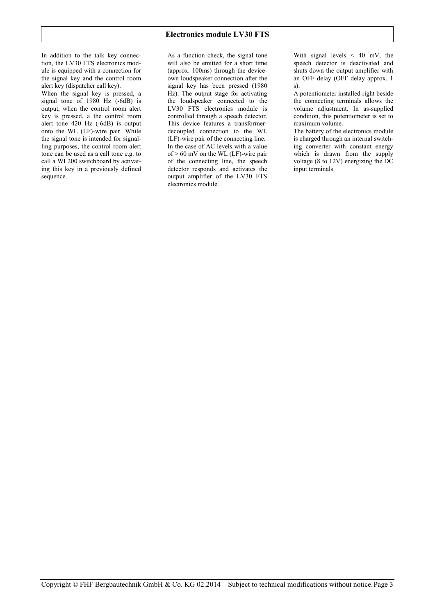In addition to the talk key connection, the LV30 FTS electronics module is equipped with a connection for the signal key and the control room alert key (dispatcher call key).

When the signal key is pressed, a signal tone of  $1980$  Hz  $(-6dB)$  is output, when the control room alert key is pressed, a the control room alert tone 420 Hz (-6dB) is output onto the WL (LF)-wire pair. While the signal tone is intended for signalling purposes, the control room alert tone can be used as a call tone e.g. to call a WL200 switchboard by activating this key in a previously defined sequence.

As a function check, the signal tone will also be emitted for a short time (approx. 100ms) through the device own loudspeaker connection after the signal key has been pressed (1980 Hz). The output stage for activating the loudspeaker connected to the LV30 FTS electronics module is controlled through a speech detector. This device features a transformer decoupled connection to the WL (LF)-wire pair of the connecting line. In the case of AC levels with a value of  $> 60$  mV on the WL (LF)-wire pair of the connecting line, the speech detector responds and activates the output amplifier of the LV30 FTS electronics module.

With signal levels  $\leq 40$  mV, the speech detector is deactivated and shuts down the output amplifier with an OFF delay (OFF delay approx. 1 s).

A potentiometer installed right beside the connecting terminals allows the volume adjustment. In as-supplied condition, this potentiometer is set to maximum volume.

The battery of the electronics module is charged through an internal switching converter with constant energy which is drawn from the supply voltage (8 to 12V) energizing the DC input terminals.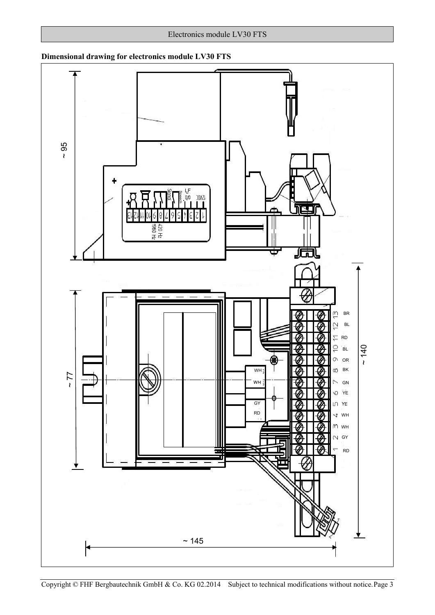

## **Dimensional drawing for electronics module LV30 FTS**